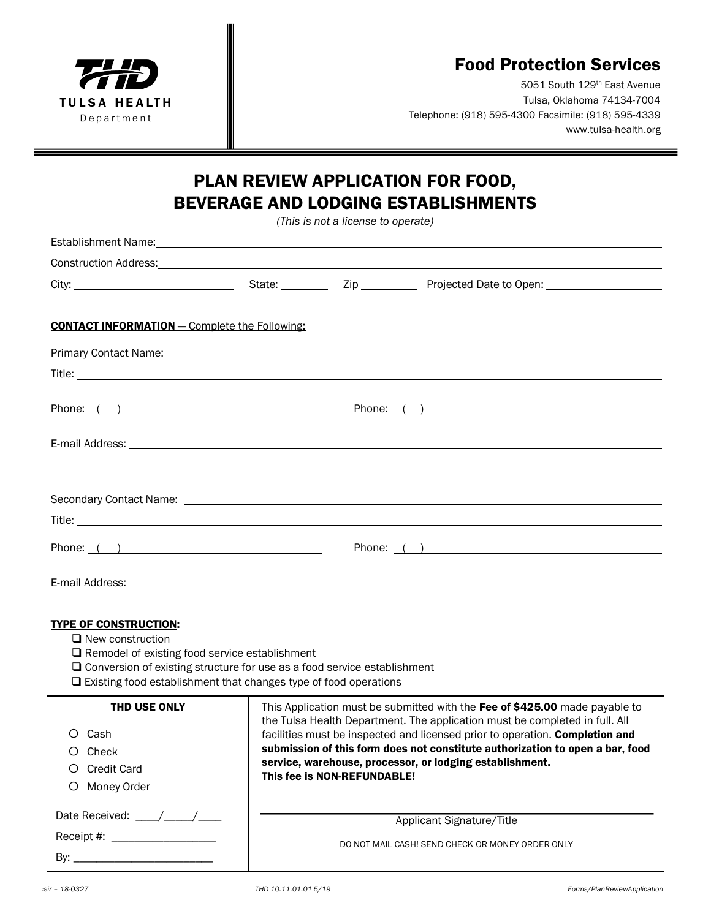

## Food Protection Services

5051 South 129th East Avenue Tulsa, Oklahoma 74134-7004 Telephone: (918) 595-4300 Facsimile: (918) 595-4339 www.tulsa-health.org

## PLAN REVIEW APPLICATION FOR FOOD, BEVERAGE AND LODGING ESTABLISHMENTS

*(This is not a license to operate)*

| <b>CONTACT INFORMATION - Complete the Following:</b>                                                                                                                                                                                                                           |                                                                                                                                                                                                                                                                                                                                                                                                                        |  |              |
|--------------------------------------------------------------------------------------------------------------------------------------------------------------------------------------------------------------------------------------------------------------------------------|------------------------------------------------------------------------------------------------------------------------------------------------------------------------------------------------------------------------------------------------------------------------------------------------------------------------------------------------------------------------------------------------------------------------|--|--------------|
|                                                                                                                                                                                                                                                                                |                                                                                                                                                                                                                                                                                                                                                                                                                        |  |              |
|                                                                                                                                                                                                                                                                                |                                                                                                                                                                                                                                                                                                                                                                                                                        |  |              |
|                                                                                                                                                                                                                                                                                |                                                                                                                                                                                                                                                                                                                                                                                                                        |  | Phone: $($ ) |
|                                                                                                                                                                                                                                                                                |                                                                                                                                                                                                                                                                                                                                                                                                                        |  |              |
|                                                                                                                                                                                                                                                                                |                                                                                                                                                                                                                                                                                                                                                                                                                        |  |              |
|                                                                                                                                                                                                                                                                                |                                                                                                                                                                                                                                                                                                                                                                                                                        |  |              |
|                                                                                                                                                                                                                                                                                |                                                                                                                                                                                                                                                                                                                                                                                                                        |  |              |
|                                                                                                                                                                                                                                                                                |                                                                                                                                                                                                                                                                                                                                                                                                                        |  |              |
| Phone: $( )$<br>Phone: $($ )                                                                                                                                                                                                                                                   |                                                                                                                                                                                                                                                                                                                                                                                                                        |  |              |
|                                                                                                                                                                                                                                                                                |                                                                                                                                                                                                                                                                                                                                                                                                                        |  |              |
|                                                                                                                                                                                                                                                                                |                                                                                                                                                                                                                                                                                                                                                                                                                        |  |              |
| <b>TYPE OF CONSTRUCTION:</b><br>$\Box$ New construction<br>$\Box$ Remodel of existing food service establishment<br>$\Box$ Conversion of existing structure for use as a food service establishment<br>$\Box$ Existing food establishment that changes type of food operations |                                                                                                                                                                                                                                                                                                                                                                                                                        |  |              |
| THD USE ONLY<br>O Cash<br>Check<br><b>Credit Card</b><br>O Money Order                                                                                                                                                                                                         | This Application must be submitted with the Fee of \$425.00 made payable to<br>the Tulsa Health Department. The application must be completed in full. All<br>facilities must be inspected and licensed prior to operation. Completion and<br>submission of this form does not constitute authorization to open a bar, food<br>service, warehouse, processor, or lodging establishment.<br>This fee is NON-REFUNDABLE! |  |              |
| Date Received: ___/___/___                                                                                                                                                                                                                                                     | Applicant Signature/Title                                                                                                                                                                                                                                                                                                                                                                                              |  |              |
| Receipt #: __________________                                                                                                                                                                                                                                                  | DO NOT MAIL CASH! SEND CHECK OR MONEY ORDER ONLY                                                                                                                                                                                                                                                                                                                                                                       |  |              |
|                                                                                                                                                                                                                                                                                |                                                                                                                                                                                                                                                                                                                                                                                                                        |  |              |